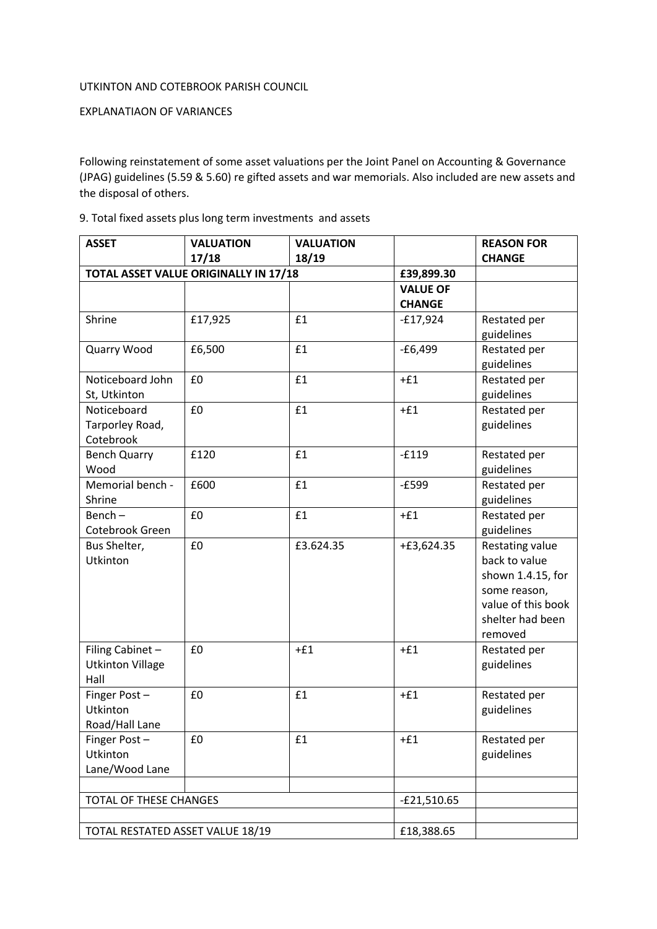## UTKINTON AND COTEBROOK PARISH COUNCIL

## EXPLANATIAON OF VARIANCES

Following reinstatement of some asset valuations per the Joint Panel on Accounting & Governance (JPAG) guidelines (5.59 & 5.60) re gifted assets and war memorials. Also included are new assets and the disposal of others.

| <b>ASSET</b>                     | <b>VALUATION</b>                      | <b>VALUATION</b> |                 | <b>REASON FOR</b>  |
|----------------------------------|---------------------------------------|------------------|-----------------|--------------------|
|                                  | 17/18                                 | 18/19            |                 | <b>CHANGE</b>      |
|                                  | TOTAL ASSET VALUE ORIGINALLY IN 17/18 | £39,899.30       |                 |                    |
|                                  |                                       |                  | <b>VALUE OF</b> |                    |
|                                  |                                       |                  | <b>CHANGE</b>   |                    |
| Shrine                           | £17,925                               | £1               | $-£17,924$      | Restated per       |
|                                  |                                       |                  |                 | guidelines         |
| Quarry Wood                      | £6,500                                | £1               | $-£6,499$       | Restated per       |
|                                  |                                       |                  |                 | guidelines         |
| Noticeboard John                 | £0                                    | £1               | $+E1$           | Restated per       |
| St, Utkinton                     |                                       |                  |                 | guidelines         |
| Noticeboard                      | £0                                    | £1               | $+E1$           | Restated per       |
| Tarporley Road,                  |                                       |                  |                 | guidelines         |
| Cotebrook                        |                                       |                  |                 |                    |
| <b>Bench Quarry</b>              | £120                                  | £1               | $-£119$         | Restated per       |
| Wood                             |                                       |                  |                 | guidelines         |
| Memorial bench -                 | £600                                  | £1               | $-E599$         | Restated per       |
| Shrine                           |                                       |                  |                 | guidelines         |
| $Bench -$                        | £0                                    | £1               | $+E1$           | Restated per       |
| Cotebrook Green                  |                                       |                  |                 | guidelines         |
| Bus Shelter,                     | £0                                    | £3.624.35        | +£3,624.35      | Restating value    |
| Utkinton                         |                                       |                  |                 | back to value      |
|                                  |                                       |                  |                 | shown 1.4.15, for  |
|                                  |                                       |                  |                 | some reason,       |
|                                  |                                       |                  |                 | value of this book |
|                                  |                                       |                  |                 | shelter had been   |
|                                  |                                       |                  |                 | removed            |
| Filing Cabinet-                  | £0                                    | $+E1$            | $+E1$           | Restated per       |
| <b>Utkinton Village</b>          |                                       |                  |                 | guidelines         |
| Hall                             |                                       |                  |                 |                    |
| Finger Post-                     | £0                                    | £1               | $+E1$           | Restated per       |
| Utkinton                         |                                       |                  |                 | guidelines         |
| Road/Hall Lane                   |                                       |                  |                 |                    |
| Finger Post-                     | £0                                    | £1               | $+E1$           | Restated per       |
| Utkinton                         |                                       |                  |                 | guidelines         |
| Lane/Wood Lane                   |                                       |                  |                 |                    |
|                                  |                                       |                  |                 |                    |
| <b>TOTAL OF THESE CHANGES</b>    |                                       |                  | $-E21,510.65$   |                    |
|                                  |                                       |                  |                 |                    |
| TOTAL RESTATED ASSET VALUE 18/19 |                                       | £18,388.65       |                 |                    |

## 9. Total fixed assets plus long term investments and assets